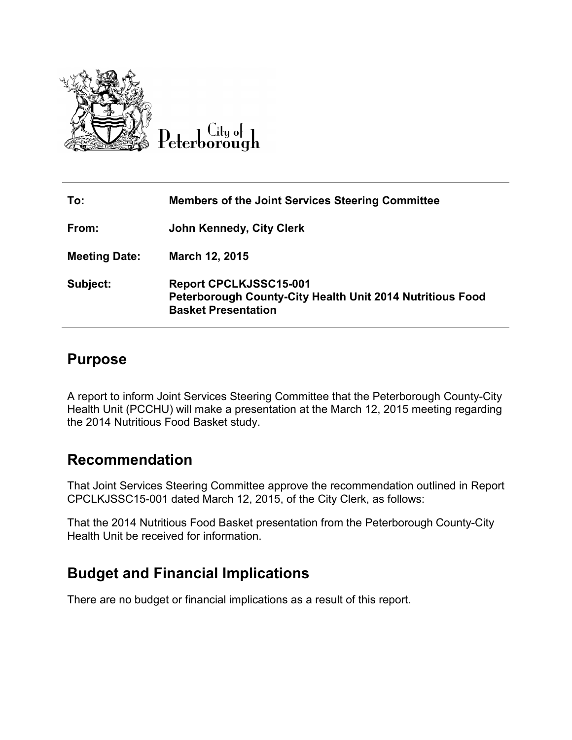

| To:                  | <b>Members of the Joint Services Steering Committee</b>                                                                  |
|----------------------|--------------------------------------------------------------------------------------------------------------------------|
| From:                | <b>John Kennedy, City Clerk</b>                                                                                          |
| <b>Meeting Date:</b> | March 12, 2015                                                                                                           |
| Subject:             | <b>Report CPCLKJSSC15-001</b><br>Peterborough County-City Health Unit 2014 Nutritious Food<br><b>Basket Presentation</b> |

## **Purpose**

A report to inform Joint Services Steering Committee that the Peterborough County-City Health Unit (PCCHU) will make a presentation at the March 12, 2015 meeting regarding the 2014 Nutritious Food Basket study.

## **Recommendation**

That Joint Services Steering Committee approve the recommendation outlined in Report CPCLKJSSC15-001 dated March 12, 2015, of the City Clerk, as follows:

That the 2014 Nutritious Food Basket presentation from the Peterborough County-City Health Unit be received for information.

## **Budget and Financial Implications**

There are no budget or financial implications as a result of this report.